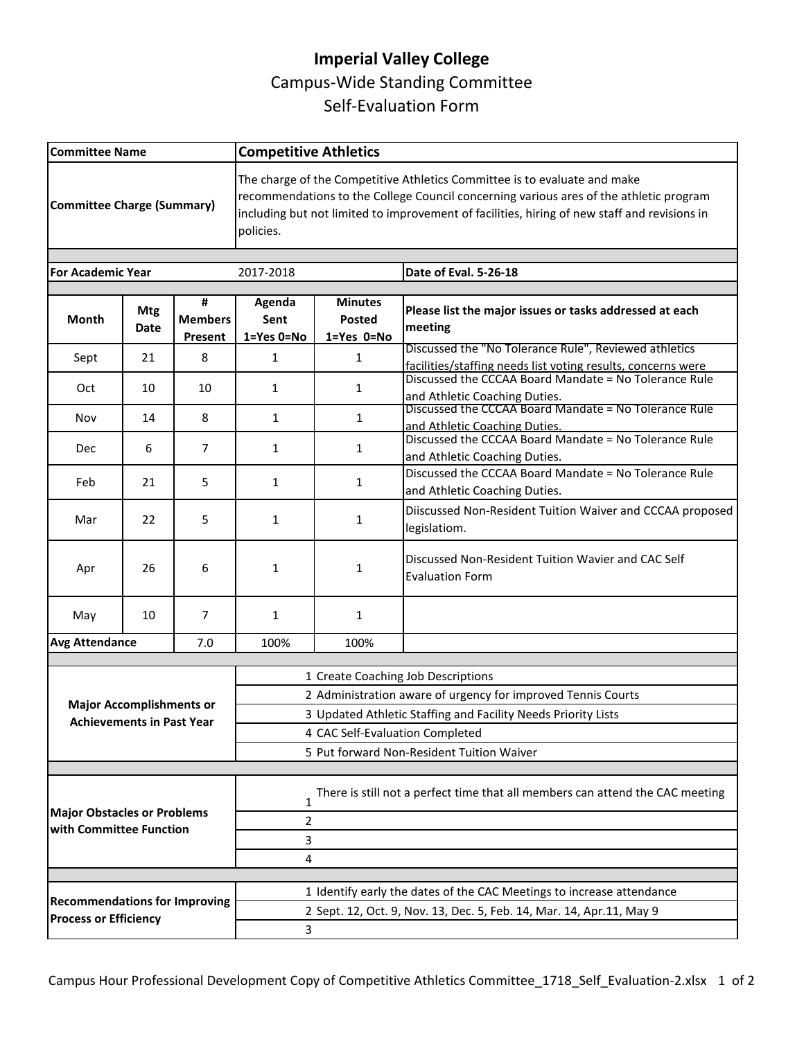## **Imperial Valley College**  Campus-Wide Standing Committee Self-Evaluation Form

| <b>Committee Name</b>                                                 |                                                                      |                                | <b>Competitive Athletics</b>                                                                                                                                                                                                                                                     |                                                                      |                                                                                                                         |  |
|-----------------------------------------------------------------------|----------------------------------------------------------------------|--------------------------------|----------------------------------------------------------------------------------------------------------------------------------------------------------------------------------------------------------------------------------------------------------------------------------|----------------------------------------------------------------------|-------------------------------------------------------------------------------------------------------------------------|--|
| Committee Charge (Summary)                                            |                                                                      |                                | The charge of the Competitive Athletics Committee is to evaluate and make<br>recommendations to the College Council concerning various ares of the athletic program<br>including but not limited to improvement of facilities, hiring of new staff and revisions in<br>policies. |                                                                      |                                                                                                                         |  |
| <b>For Academic Year</b>                                              |                                                                      |                                | 2017-2018                                                                                                                                                                                                                                                                        |                                                                      | Date of Eval. 5-26-18                                                                                                   |  |
|                                                                       |                                                                      |                                |                                                                                                                                                                                                                                                                                  |                                                                      |                                                                                                                         |  |
| <b>Month</b>                                                          | <b>Mtg</b><br><b>Date</b>                                            | #<br><b>Members</b><br>Present | Agenda<br>Sent<br>1=Yes 0=No                                                                                                                                                                                                                                                     | <b>Minutes</b><br>Posted<br>$1 = Yes$ $0 = No$                       | Please list the major issues or tasks addressed at each<br>meeting                                                      |  |
| Sept                                                                  | 21                                                                   | 8                              | 1                                                                                                                                                                                                                                                                                | 1                                                                    | Discussed the "No Tolerance Rule", Reviewed athletics                                                                   |  |
| Oct                                                                   | 10                                                                   | 10                             | 1                                                                                                                                                                                                                                                                                | 1                                                                    | facilities/staffing needs list voting results, concerns were<br>Discussed the CCCAA Board Mandate = No Tolerance Rule   |  |
| Nov                                                                   | 14                                                                   | 8                              | 1                                                                                                                                                                                                                                                                                | $\mathbf{1}$                                                         | and Athletic Coaching Duties.<br>Discussed the CCCAA Board Mandate = No Tolerance Rule<br>and Athletic Coaching Duties. |  |
| Dec                                                                   | 6                                                                    | 7                              | $\mathbf{1}$                                                                                                                                                                                                                                                                     | $\mathbf{1}$                                                         | Discussed the CCCAA Board Mandate = No Tolerance Rule<br>and Athletic Coaching Duties.                                  |  |
| Feb                                                                   | 21                                                                   | 5                              | 1                                                                                                                                                                                                                                                                                | $\mathbf{1}$                                                         | Discussed the CCCAA Board Mandate = No Tolerance Rule<br>and Athletic Coaching Duties.                                  |  |
| Mar                                                                   | 22                                                                   | 5                              | 1                                                                                                                                                                                                                                                                                | $\mathbf{1}$                                                         | Diiscussed Non-Resident Tuition Waiver and CCCAA proposed<br>legislatiom.                                               |  |
| Apr                                                                   | 26                                                                   | 6                              | 1                                                                                                                                                                                                                                                                                | $\mathbf{1}$                                                         | Discussed Non-Resident Tuition Wavier and CAC Self<br><b>Evaluation Form</b>                                            |  |
| May                                                                   | 10                                                                   | 7                              | 1                                                                                                                                                                                                                                                                                | $\mathbf{1}$                                                         |                                                                                                                         |  |
|                                                                       | <b>Avg Attendance</b><br>7.0                                         |                                | 100%                                                                                                                                                                                                                                                                             | 100%                                                                 |                                                                                                                         |  |
|                                                                       |                                                                      |                                |                                                                                                                                                                                                                                                                                  |                                                                      |                                                                                                                         |  |
|                                                                       |                                                                      |                                | 1 Create Coaching Job Descriptions<br>2 Administration aware of urgency for improved Tennis Courts                                                                                                                                                                               |                                                                      |                                                                                                                         |  |
| <b>Major Accomplishments or</b><br><b>Achievements in Past Year</b>   |                                                                      |                                | 3 Updated Athletic Staffing and Facility Needs Priority Lists                                                                                                                                                                                                                    |                                                                      |                                                                                                                         |  |
|                                                                       |                                                                      |                                | 4 CAC Self-Evaluation Completed                                                                                                                                                                                                                                                  |                                                                      |                                                                                                                         |  |
|                                                                       |                                                                      |                                | 5 Put forward Non-Resident Tuition Waiver                                                                                                                                                                                                                                        |                                                                      |                                                                                                                         |  |
| <b>Major Obstacles or Problems</b><br>with Committee Function         |                                                                      |                                | There is still not a perfect time that all members can attend the CAC meeting<br>$\mathbf{1}$<br>$\overline{2}$<br>3<br>4                                                                                                                                                        |                                                                      |                                                                                                                         |  |
| 1 Identify early the dates of the CAC Meetings to increase attendance |                                                                      |                                |                                                                                                                                                                                                                                                                                  |                                                                      |                                                                                                                         |  |
|                                                                       | <b>Recommendations for Improving</b><br><b>Process or Efficiency</b> |                                |                                                                                                                                                                                                                                                                                  | 2 Sept. 12, Oct. 9, Nov. 13, Dec. 5, Feb. 14, Mar. 14, Apr.11, May 9 |                                                                                                                         |  |
|                                                                       |                                                                      |                                | 3                                                                                                                                                                                                                                                                                |                                                                      |                                                                                                                         |  |